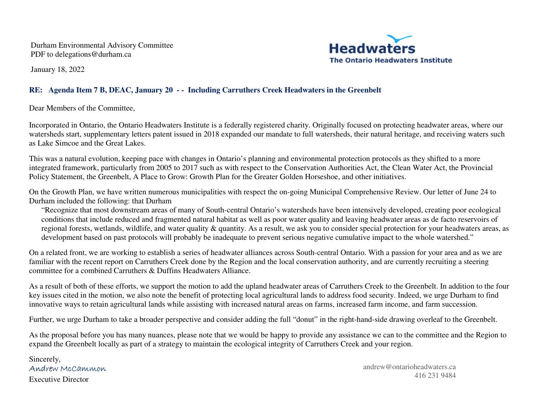Durham Environmental Advisory Committee PDF to delegations@durham.ca



January 18, 2022

## **RE: Agenda Item 7 B, DEAC, January 20 - - Including Carruthers Creek Headwaters in the Greenbelt**

Dear Members of the Committee,

Incorporated in Ontario, the Ontario Headwaters Institute is a federally registered charity. Originally focused on protecting headwater areas, where our watersheds start, supplementary letters patent issued in 2018 expanded our mandate to full watersheds, their natural heritage, and receiving waters such as Lake Simcoe and the Great Lakes.

This was a natural evolution, keeping pace with changes in Ontario's planning and environmental protection protocols as they shifted to a more integrated framework, particularly from 2005 to 2017 such as with respect to the Conservation Authorities Act, the Clean Water Act, the Provincial Policy Statement, the Greenbelt, A Place to Grow: Growth Plan for the Greater Golden Horseshoe, and other initiatives.

On the Growth Plan, we have written numerous municipalities with respect the on-going Municipal Comprehensive Review. Our letter of June 24 to Durham included the following: that Durham

"Recognize that most downstream areas of many of South-central Ontario's watersheds have been intensively developed, creating poor ecological conditions that include reduced and fragmented natural habitat as well as poor water quality and leaving headwater areas as de facto reservoirs of regional forests, wetlands, wildlife, and water quality & quantity. As a result, we ask you to consider special protection for your headwaters areas, as development based on past protocols will probably be inadequate to prevent serious negative cumulative impact to the whole watershed."

On a related front, we are working to establish a series of headwater alliances across South-central Ontario. With a passion for your area and as we are familiar with the recent report on Carruthers Creek done by the Region and the local conservation authority, and are currently recruiting a steering committee for a combined Carruthers & Duffins Headwaters Alliance.

As a result of both of these efforts, we support the motion to add the upland headwater areas of Carruthers Creek to the Greenbelt. In addition to the four key issues cited in the motion, we also note the benefit of protecting local agricultural lands to address food security. Indeed, we urge Durham to find innovative ways to retain agricultural lands while assisting with increased natural areas on farms, increased farm income, and farm succession.

Further, we urge Durham to take a broader perspective and consider adding the full "donut" in the right-hand-side drawing overleaf to the Greenbelt.

As the proposal before you has many nuances, please note that we would be happy to provide any assistance we can to the committee and the Region to expand the Greenbelt locally as part of a strategy to maintain the ecological integrity of Carruthers Creek and your region.

Sincerely, Andrew McCammonExecutive Director

andrew@ontarioheadwaters.ca 416 231 <sup>9484</sup>